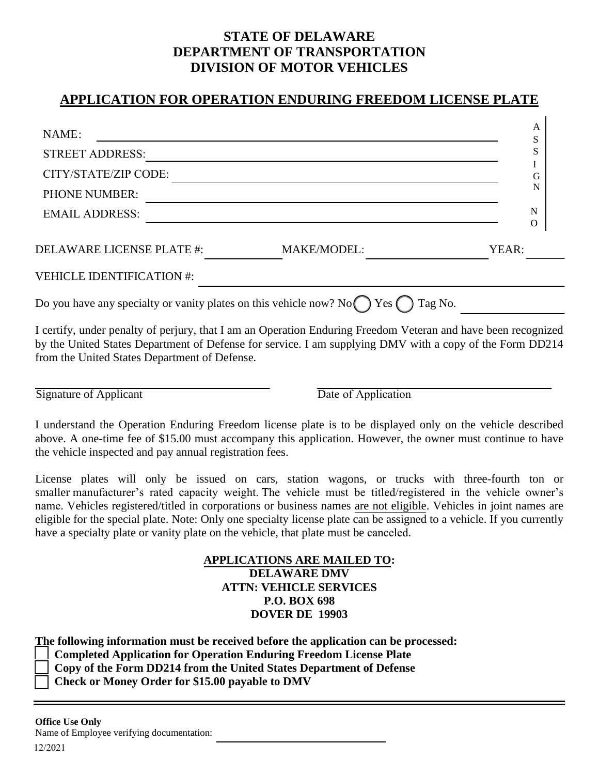## **STATE OF DELAWARE DEPARTMENT OF TRANSPORTATION DIVISION OF MOTOR VEHICLES**

## **APPLICATION FOR OPERATION ENDURING FREEDOM LICENSE PLATE**

| NAME:                            |                    | A<br>S           |
|----------------------------------|--------------------|------------------|
| <b>STREET ADDRESS:</b>           |                    | S                |
| CITY/STATE/ZIP CODE:             |                    | G                |
| <b>PHONE NUMBER:</b>             |                    | N                |
| <b>EMAIL ADDRESS:</b>            |                    | N<br>$\mathbf O$ |
| <b>DELAWARE LICENSE PLATE #:</b> | <b>MAKE/MODEL:</b> | YEAR:            |
| <b>VEHICLE IDENTIFICATION #:</b> |                    |                  |
|                                  |                    |                  |

I certify, under penalty of perjury, that I am an Operation Enduring Freedom Veteran and have been recognized by the United States Department of Defense for service. I am supplying DMV with a copy of the Form DD214 from the United States Department of Defense.

Signature of Applicant Date of Application

I understand the Operation Enduring Freedom license plate is to be displayed only on the vehicle described above. A one-time fee of \$15.00 must accompany this application. However, the owner must continue to have the vehicle inspected and pay annual registration fees.

License plates will only be issued on cars, station wagons, or trucks with three-fourth ton or smaller manufacturer's rated capacity weight. The vehicle must be titled/registered in the vehicle owner's name. Vehicles registered/titled in corporations or business names are not eligible. Vehicles in joint names are eligible for the special plate. Note: Only one specialty license plate can be assigned to a vehicle. If you currently have a specialty plate or vanity plate on the vehicle, that plate must be canceled.

## **APPLICATIONS ARE MAILED TO: DELAWARE DMV ATTN: VEHICLE SERVICES P.O. BOX 698 DOVER DE 19903**

**The following information must be received before the application can be processed:** 

 **Completed Application for Operation Enduring Freedom License Plate** 

**Copy of the Form DD214 from the United States Department of Defense** 

 **Check or Money Order for \$15.00 payable to DMV**